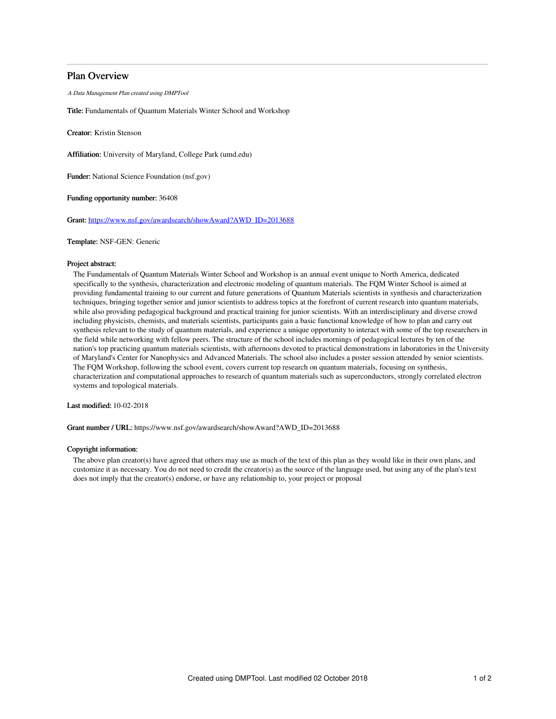# Plan Overview

A Data Management Plan created using DMPTool

Title: Fundamentals of Quantum Materials Winter School and Workshop

Creator: Kristin Stenson

Affiliation: University of Maryland, College Park (umd.edu)

Funder: National Science Foundation (nsf.gov)

Funding opportunity number: 36408

Grant: [https://www.nsf.gov/awardsearch/showAward?AWD\\_ID=2013688](https://www.nsf.gov/awardsearch/showAward?AWD_ID=2013688)

## Template: NSF-GEN: Generic

## Project abstract:

The Fundamentals of Quantum Materials Winter School and Workshop is an annual event unique to North America, dedicated specifically to the synthesis, characterization and electronic modeling of quantum materials. The FQM Winter School is aimed at providing fundamental training to our current and future generations of Quantum Materials scientists in synthesis and characterization techniques, bringing together senior and junior scientists to address topics at the forefront of current research into quantum materials, while also providing pedagogical background and practical training for junior scientists. With an interdisciplinary and diverse crowd including physicists, chemists, and materials scientists, participants gain a basic functional knowledge of how to plan and carry out synthesis relevant to the study of quantum materials, and experience a unique opportunity to interact with some of the top researchers in the field while networking with fellow peers. The structure of the school includes mornings of pedagogical lectures by ten of the nation's top practicing quantum materials scientists, with afternoons devoted to practical demonstrations in laboratories in the University of Maryland's Center for Nanophysics and Advanced Materials. The school also includes a poster session attended by senior scientists. The FQM Workshop, following the school event, covers current top research on quantum materials, focusing on synthesis, characterization and computational approaches to research of quantum materials such as superconductors, strongly correlated electron systems and topological materials.

Last modified: 10-02-2018

Grant number / URL: https://www.nsf.gov/awardsearch/showAward?AWD\_ID=2013688

### Copyright information:

The above plan creator(s) have agreed that others may use as much of the text of this plan as they would like in their own plans, and customize it as necessary. You do not need to credit the creator(s) as the source of the language used, but using any of the plan's text does not imply that the creator(s) endorse, or have any relationship to, your project or proposal